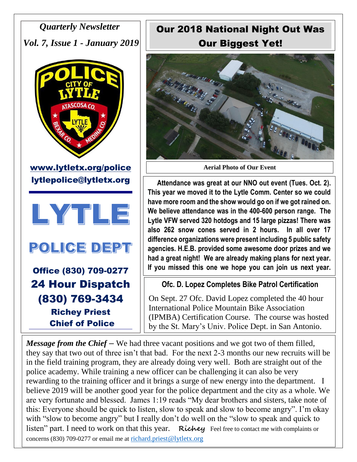*Quarterly Newsletter Vol. 7, Issue 1 - January 2019*





POLICE DEPT

Office (830) 709-0277 24 Hour Dispatch (830) 769-3434 Richey Priest Chief of Police

Our 2018 National Night Out Was Our Biggest Yet!



**Aerial Photo of Our Event**

 **Attendance was great at our NNO out event (Tues. Oct. 2). This year we moved it to the Lytle Comm. Center so we could have more room and the show would go on if we got rained on. We believe attendance was in the 400-600 person range. The Lytle VFW served 320 hotdogs and 15 large pizzas! There was also 262 snow cones served in 2 hours. In all over 17 difference organizations were present including 5 public safety agencies. H.E.B. provided some awesome door prizes and we had a great night! We are already making plans for next year. If you missed this one we hope you can join us next year.**

## **Ofc. D. Lopez Completes Bike Patrol Certification**

On Sept. 27 Ofc. David Lopez completed the 40 hour International Police Mountain Bike Association (IPMBA) Certification Course. The course was hosted by the St. Mary's Univ. Police Dept. in San Antonio.

*Message from the Chief* – We had three vacant positions and we got two of them filled, they say that two out of three isn't that bad. For the next 2-3 months our new recruits will be in the field training program, they are already doing very well. Both are straight out of the police academy. While training a new officer can be challenging it can also be very rewarding to the training officer and it brings a surge of new energy into the department. I believe 2019 will be another good year for the police department and the city as a whole. We are very fortunate and blessed. James 1:19 reads "My dear brothers and sisters, take note of this: Everyone should be quick to listen, slow to speak and slow to become angry". I'm okay with "slow to become angry" but I really don't do well on the "slow to speak and quick to listen" part. I need to work on that this year. **Richly** Feel free to contact me with complaints or concerns (830) 709-0277 or email me at [richard.priest@lytletx.org](mailto:richard.priest@lytletx.org)

 $\overline{a}$